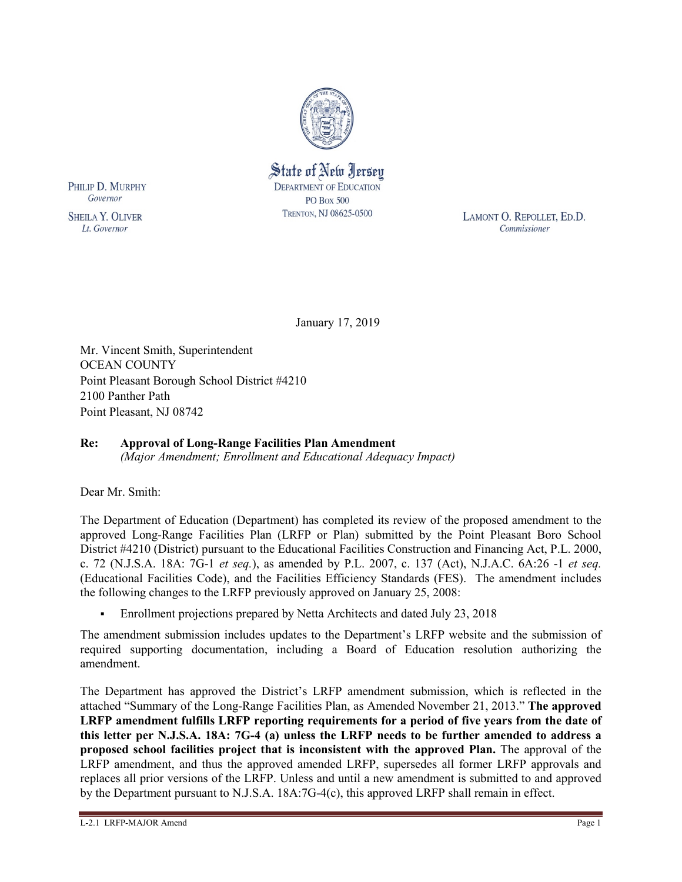

State of New Jersey **DEPARTMENT OF EDUCATION PO Box 500** TRENTON, NJ 08625-0500

LAMONT O. REPOLLET, ED.D. Commissioner

January 17, 2019

Mr. Vincent Smith, Superintendent OCEAN COUNTY Point Pleasant Borough School District #4210 2100 Panther Path Point Pleasant, NJ 08742

# **Re: Approval of Long-Range Facilities Plan Amendment**

*(Major Amendment; Enrollment and Educational Adequacy Impact)*

Dear Mr. Smith:

PHILIP D. MURPHY Governor

**SHEILA Y. OLIVER** 

Lt. Governor

The Department of Education (Department) has completed its review of the proposed amendment to the approved Long-Range Facilities Plan (LRFP or Plan) submitted by the Point Pleasant Boro School District #4210 (District) pursuant to the Educational Facilities Construction and Financing Act, P.L. 2000, c. 72 (N.J.S.A. 18A: 7G-1 *et seq.*), as amended by P.L. 2007, c. 137 (Act), N.J.A.C. 6A:26 -1 *et seq.* (Educational Facilities Code), and the Facilities Efficiency Standards (FES). The amendment includes the following changes to the LRFP previously approved on January 25, 2008:

Enrollment projections prepared by Netta Architects and dated July 23, 2018

The amendment submission includes updates to the Department's LRFP website and the submission of required supporting documentation, including a Board of Education resolution authorizing the amendment.

The Department has approved the District's LRFP amendment submission, which is reflected in the attached "Summary of the Long-Range Facilities Plan, as Amended November 21, 2013." **The approved LRFP amendment fulfills LRFP reporting requirements for a period of five years from the date of this letter per N.J.S.A. 18A: 7G-4 (a) unless the LRFP needs to be further amended to address a proposed school facilities project that is inconsistent with the approved Plan.** The approval of the LRFP amendment, and thus the approved amended LRFP, supersedes all former LRFP approvals and replaces all prior versions of the LRFP. Unless and until a new amendment is submitted to and approved by the Department pursuant to N.J.S.A. 18A:7G-4(c), this approved LRFP shall remain in effect.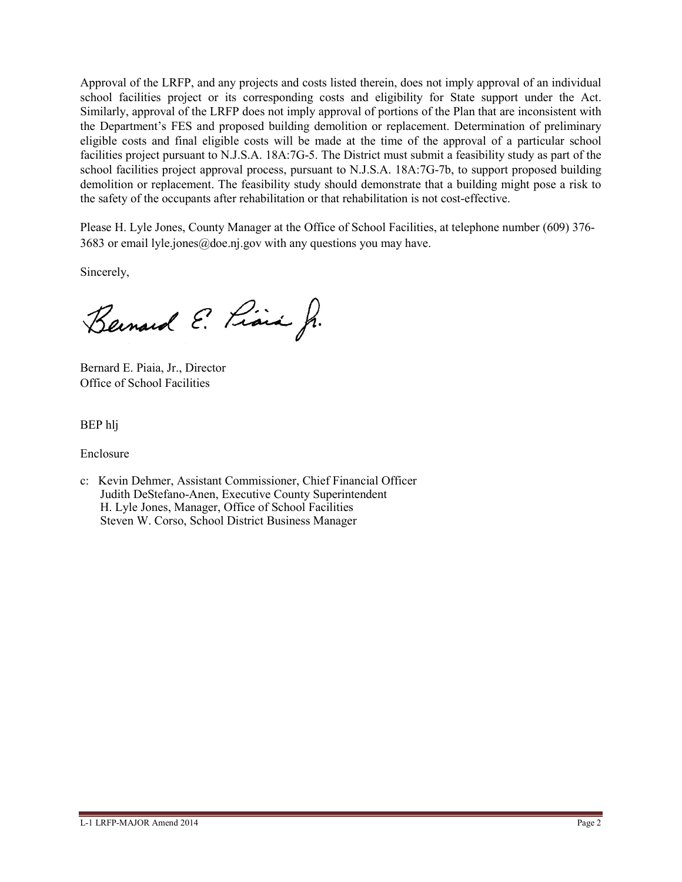Approval of the LRFP, and any projects and costs listed therein, does not imply approval of an individual school facilities project or its corresponding costs and eligibility for State support under the Act. Similarly, approval of the LRFP does not imply approval of portions of the Plan that are inconsistent with the Department's FES and proposed building demolition or replacement. Determination of preliminary eligible costs and final eligible costs will be made at the time of the approval of a particular school facilities project pursuant to N.J.S.A. 18A:7G-5. The District must submit a feasibility study as part of the school facilities project approval process, pursuant to N.J.S.A. 18A:7G-7b, to support proposed building demolition or replacement. The feasibility study should demonstrate that a building might pose a risk to the safety of the occupants after rehabilitation or that rehabilitation is not cost-effective.

Please H. Lyle Jones, County Manager at the Office of School Facilities, at telephone number (609) 376- 3683 or email lyle.jones@doe.nj.gov with any questions you may have.

Sincerely,

Bernard E. Piara Jr.

Bernard E. Piaia, Jr., Director Office of School Facilities

BEP hlj

Enclosure

c: Kevin Dehmer, Assistant Commissioner, Chief Financial Officer Judith DeStefano-Anen, Executive County Superintendent H. Lyle Jones, Manager, Office of School Facilities Steven W. Corso, School District Business Manager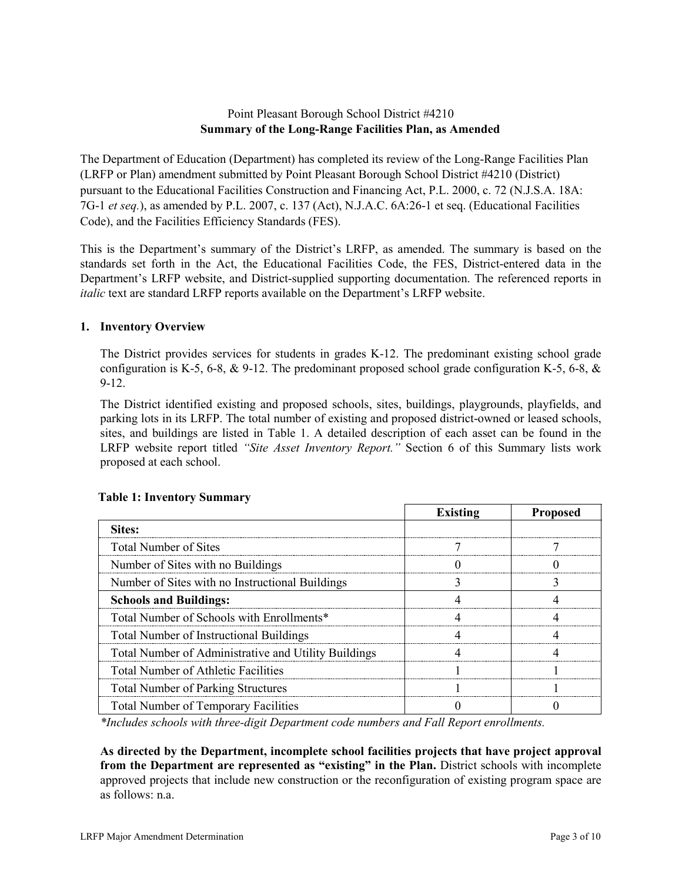# Point Pleasant Borough School District #4210 **Summary of the Long-Range Facilities Plan, as Amended**

The Department of Education (Department) has completed its review of the Long-Range Facilities Plan (LRFP or Plan) amendment submitted by Point Pleasant Borough School District #4210 (District) pursuant to the Educational Facilities Construction and Financing Act, P.L. 2000, c. 72 (N.J.S.A. 18A: 7G-1 *et seq.*), as amended by P.L. 2007, c. 137 (Act), N.J.A.C. 6A:26-1 et seq. (Educational Facilities Code), and the Facilities Efficiency Standards (FES).

This is the Department's summary of the District's LRFP, as amended. The summary is based on the standards set forth in the Act, the Educational Facilities Code, the FES, District-entered data in the Department's LRFP website, and District-supplied supporting documentation. The referenced reports in *italic* text are standard LRFP reports available on the Department's LRFP website.

## **1. Inventory Overview**

The District provides services for students in grades K-12. The predominant existing school grade configuration is K-5, 6-8,  $\&$  9-12. The predominant proposed school grade configuration K-5, 6-8,  $\&$ 9-12.

The District identified existing and proposed schools, sites, buildings, playgrounds, playfields, and parking lots in its LRFP. The total number of existing and proposed district-owned or leased schools, sites, and buildings are listed in Table 1. A detailed description of each asset can be found in the LRFP website report titled *"Site Asset Inventory Report."* Section 6 of this Summary lists work proposed at each school.

|                                                      | <b>Existing</b> | <b>Proposed</b> |
|------------------------------------------------------|-----------------|-----------------|
| Sites:                                               |                 |                 |
| Total Number of Sites                                |                 |                 |
| Number of Sites with no Buildings                    |                 |                 |
| Number of Sites with no Instructional Buildings      |                 |                 |
| <b>Schools and Buildings:</b>                        |                 |                 |
| Total Number of Schools with Enrollments*            |                 |                 |
| <b>Total Number of Instructional Buildings</b>       |                 |                 |
| Total Number of Administrative and Utility Buildings |                 |                 |
| <b>Total Number of Athletic Facilities</b>           |                 |                 |
| <b>Total Number of Parking Structures</b>            |                 |                 |
| <b>Total Number of Temporary Facilities</b>          |                 |                 |

# **Table 1: Inventory Summary**

*\*Includes schools with three-digit Department code numbers and Fall Report enrollments.*

**As directed by the Department, incomplete school facilities projects that have project approval from the Department are represented as "existing" in the Plan.** District schools with incomplete approved projects that include new construction or the reconfiguration of existing program space are as follows: n.a.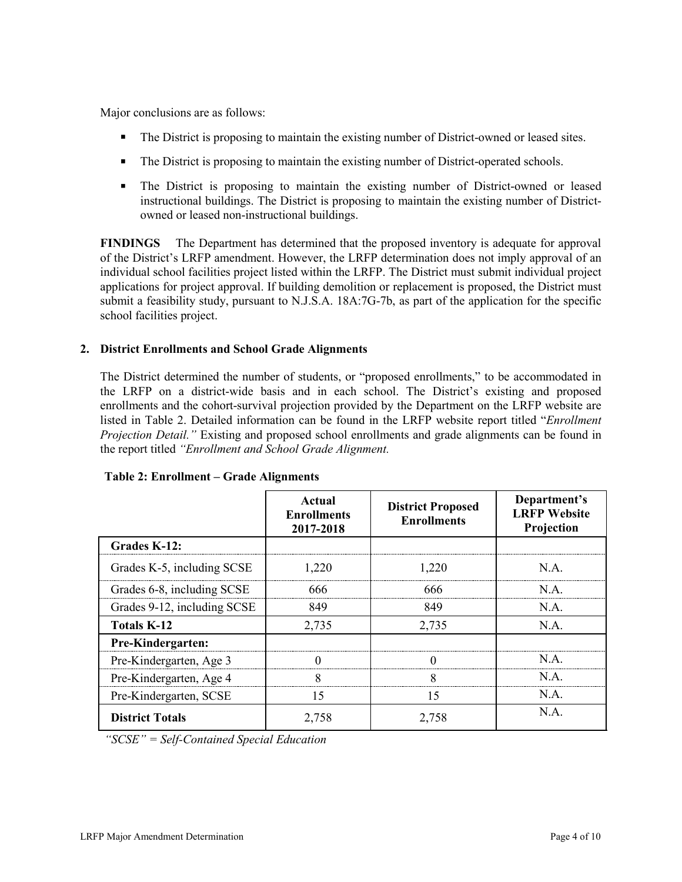Major conclusions are as follows:

- The District is proposing to maintain the existing number of District-owned or leased sites.
- The District is proposing to maintain the existing number of District-operated schools.
- The District is proposing to maintain the existing number of District-owned or leased instructional buildings. The District is proposing to maintain the existing number of Districtowned or leased non-instructional buildings.

**FINDINGS** The Department has determined that the proposed inventory is adequate for approval of the District's LRFP amendment. However, the LRFP determination does not imply approval of an individual school facilities project listed within the LRFP. The District must submit individual project applications for project approval. If building demolition or replacement is proposed, the District must submit a feasibility study, pursuant to N.J.S.A. 18A:7G-7b, as part of the application for the specific school facilities project.

## **2. District Enrollments and School Grade Alignments**

The District determined the number of students, or "proposed enrollments," to be accommodated in the LRFP on a district-wide basis and in each school. The District's existing and proposed enrollments and the cohort-survival projection provided by the Department on the LRFP website are listed in Table 2. Detailed information can be found in the LRFP website report titled "*Enrollment Projection Detail."* Existing and proposed school enrollments and grade alignments can be found in the report titled *"Enrollment and School Grade Alignment.*

|                             | Actual<br><b>Enrollments</b><br>2017-2018 | <b>District Proposed</b><br><b>Enrollments</b> | Department's<br><b>LRFP Website</b><br>Projection |
|-----------------------------|-------------------------------------------|------------------------------------------------|---------------------------------------------------|
| Grades K-12:                |                                           |                                                |                                                   |
| Grades K-5, including SCSE  | 1,220                                     | 1.220                                          | N.A.                                              |
| Grades 6-8, including SCSE  | 666                                       | 666                                            | N.A.                                              |
| Grades 9-12, including SCSE | 849                                       | 849                                            | N.A.                                              |
| <b>Totals K-12</b>          | 2,735                                     | 2,735                                          | N.A.                                              |
| Pre-Kindergarten:           |                                           |                                                |                                                   |
| Pre-Kindergarten, Age 3     |                                           |                                                | N.A.                                              |
| Pre-Kindergarten, Age 4     | 8                                         | 8                                              | N.A.                                              |
| Pre-Kindergarten, SCSE      | 15                                        | 15                                             | N.A.                                              |
| <b>District Totals</b>      | 2,758                                     | 2,758                                          | N.A.                                              |

**Table 2: Enrollment – Grade Alignments**

*"SCSE" = Self-Contained Special Education*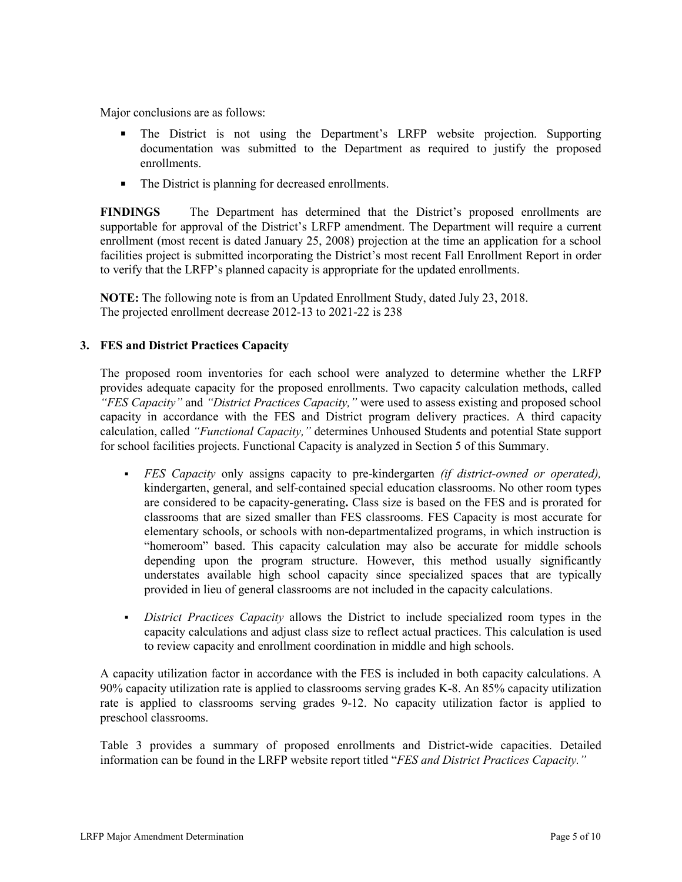Major conclusions are as follows:

- The District is not using the Department's LRFP website projection. Supporting documentation was submitted to the Department as required to justify the proposed enrollments.
- The District is planning for decreased enrollments.

**FINDINGS** The Department has determined that the District's proposed enrollments are supportable for approval of the District's LRFP amendment. The Department will require a current enrollment (most recent is dated January 25, 2008) projection at the time an application for a school facilities project is submitted incorporating the District's most recent Fall Enrollment Report in order to verify that the LRFP's planned capacity is appropriate for the updated enrollments.

**NOTE:** The following note is from an Updated Enrollment Study, dated July 23, 2018. The projected enrollment decrease 2012-13 to 2021-22 is 238

## **3. FES and District Practices Capacity**

The proposed room inventories for each school were analyzed to determine whether the LRFP provides adequate capacity for the proposed enrollments. Two capacity calculation methods, called *"FES Capacity"* and *"District Practices Capacity,"* were used to assess existing and proposed school capacity in accordance with the FES and District program delivery practices. A third capacity calculation, called *"Functional Capacity,"* determines Unhoused Students and potential State support for school facilities projects. Functional Capacity is analyzed in Section 5 of this Summary.

- *FES Capacity* only assigns capacity to pre-kindergarten *(if district-owned or operated),* kindergarten, general, and self-contained special education classrooms. No other room types are considered to be capacity-generating**.** Class size is based on the FES and is prorated for classrooms that are sized smaller than FES classrooms. FES Capacity is most accurate for elementary schools, or schools with non-departmentalized programs, in which instruction is "homeroom" based. This capacity calculation may also be accurate for middle schools depending upon the program structure. However, this method usually significantly understates available high school capacity since specialized spaces that are typically provided in lieu of general classrooms are not included in the capacity calculations.
- *District Practices Capacity* allows the District to include specialized room types in the capacity calculations and adjust class size to reflect actual practices. This calculation is used to review capacity and enrollment coordination in middle and high schools.

A capacity utilization factor in accordance with the FES is included in both capacity calculations. A 90% capacity utilization rate is applied to classrooms serving grades K-8. An 85% capacity utilization rate is applied to classrooms serving grades 9-12. No capacity utilization factor is applied to preschool classrooms.

Table 3 provides a summary of proposed enrollments and District-wide capacities. Detailed information can be found in the LRFP website report titled "*FES and District Practices Capacity."*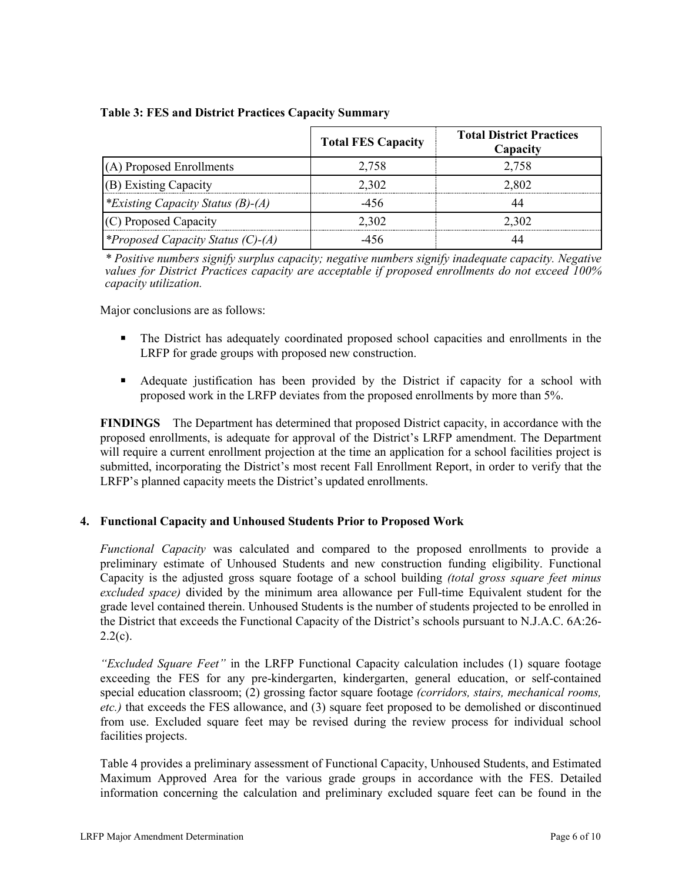|                                          | <b>Total FES Capacity</b> | <b>Total District Practices</b><br>Capacity |
|------------------------------------------|---------------------------|---------------------------------------------|
| (A) Proposed Enrollments                 | 2.758                     | 2.758                                       |
| (B) Existing Capacity                    | 2.302                     | 2.802                                       |
| <i>*Existing Capacity Status (B)-(A)</i> | -456                      |                                             |
| (C) Proposed Capacity                    | 2.302                     | 2.302                                       |
| <i>*Proposed Capacity Status (C)-(A)</i> | -456                      |                                             |

#### **Table 3: FES and District Practices Capacity Summary**

*\* Positive numbers signify surplus capacity; negative numbers signify inadequate capacity. Negative values for District Practices capacity are acceptable if proposed enrollments do not exceed 100% capacity utilization.*

Major conclusions are as follows:

- The District has adequately coordinated proposed school capacities and enrollments in the LRFP for grade groups with proposed new construction.
- Adequate justification has been provided by the District if capacity for a school with proposed work in the LRFP deviates from the proposed enrollments by more than 5%.

**FINDINGS** The Department has determined that proposed District capacity, in accordance with the proposed enrollments, is adequate for approval of the District's LRFP amendment. The Department will require a current enrollment projection at the time an application for a school facilities project is submitted, incorporating the District's most recent Fall Enrollment Report, in order to verify that the LRFP's planned capacity meets the District's updated enrollments.

# **4. Functional Capacity and Unhoused Students Prior to Proposed Work**

*Functional Capacity* was calculated and compared to the proposed enrollments to provide a preliminary estimate of Unhoused Students and new construction funding eligibility. Functional Capacity is the adjusted gross square footage of a school building *(total gross square feet minus excluded space)* divided by the minimum area allowance per Full-time Equivalent student for the grade level contained therein. Unhoused Students is the number of students projected to be enrolled in the District that exceeds the Functional Capacity of the District's schools pursuant to N.J.A.C. 6A:26-  $2.2(c)$ .

*"Excluded Square Feet"* in the LRFP Functional Capacity calculation includes (1) square footage exceeding the FES for any pre-kindergarten, kindergarten, general education, or self-contained special education classroom; (2) grossing factor square footage *(corridors, stairs, mechanical rooms, etc.)* that exceeds the FES allowance, and (3) square feet proposed to be demolished or discontinued from use. Excluded square feet may be revised during the review process for individual school facilities projects.

Table 4 provides a preliminary assessment of Functional Capacity, Unhoused Students, and Estimated Maximum Approved Area for the various grade groups in accordance with the FES. Detailed information concerning the calculation and preliminary excluded square feet can be found in the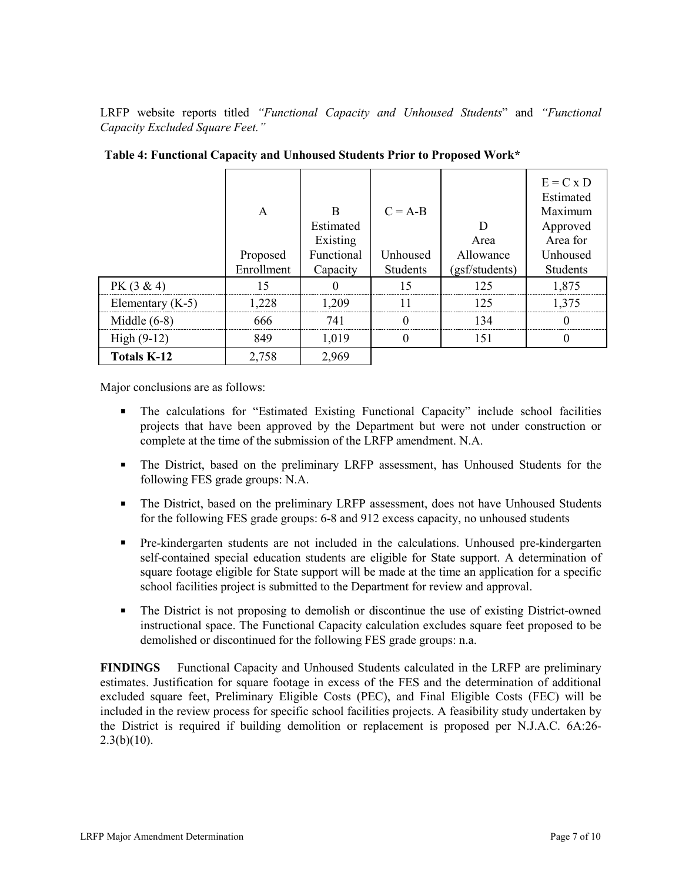LRFP website reports titled *"Functional Capacity and Unhoused Students*" and *"Functional Capacity Excluded Square Feet."*

|                    | A<br>Proposed<br>Enrollment | B<br>Estimated<br>Existing<br>Functional<br>Capacity | $C = A-B$<br>Unhoused<br>Students | D<br>Area<br>Allowance<br>(gsf/students) | $E = C x D$<br>Estimated<br>Maximum<br>Approved<br>Area for<br>Unhoused<br>Students |
|--------------------|-----------------------------|------------------------------------------------------|-----------------------------------|------------------------------------------|-------------------------------------------------------------------------------------|
| $PK(3 \& 4)$       | ۱۲                          |                                                      | ١s                                | 125                                      | 1,875                                                                               |
| Elementary $(K-5)$ | .228                        | 1.209                                                |                                   | 125                                      | 1.375                                                                               |
| Middle $(6-8)$     | 666                         | 741                                                  |                                   | 134                                      |                                                                                     |
| $High (9-12)$      | 849                         | 1,019                                                |                                   | 151                                      |                                                                                     |
| <b>Totals K-12</b> | 2,758                       | 2,969                                                |                                   |                                          |                                                                                     |

**Table 4: Functional Capacity and Unhoused Students Prior to Proposed Work\***

Major conclusions are as follows:

- The calculations for "Estimated Existing Functional Capacity" include school facilities projects that have been approved by the Department but were not under construction or complete at the time of the submission of the LRFP amendment. N.A.
- The District, based on the preliminary LRFP assessment, has Unhoused Students for the following FES grade groups: N.A.
- The District, based on the preliminary LRFP assessment, does not have Unhoused Students for the following FES grade groups: 6-8 and 912 excess capacity, no unhoused students
- Pre-kindergarten students are not included in the calculations. Unhoused pre-kindergarten self-contained special education students are eligible for State support. A determination of square footage eligible for State support will be made at the time an application for a specific school facilities project is submitted to the Department for review and approval.
- The District is not proposing to demolish or discontinue the use of existing District-owned instructional space. The Functional Capacity calculation excludes square feet proposed to be demolished or discontinued for the following FES grade groups: n.a.

**FINDINGS** Functional Capacity and Unhoused Students calculated in the LRFP are preliminary estimates. Justification for square footage in excess of the FES and the determination of additional excluded square feet, Preliminary Eligible Costs (PEC), and Final Eligible Costs (FEC) will be included in the review process for specific school facilities projects. A feasibility study undertaken by the District is required if building demolition or replacement is proposed per N.J.A.C. 6A:26-  $2.3(b)(10)$ .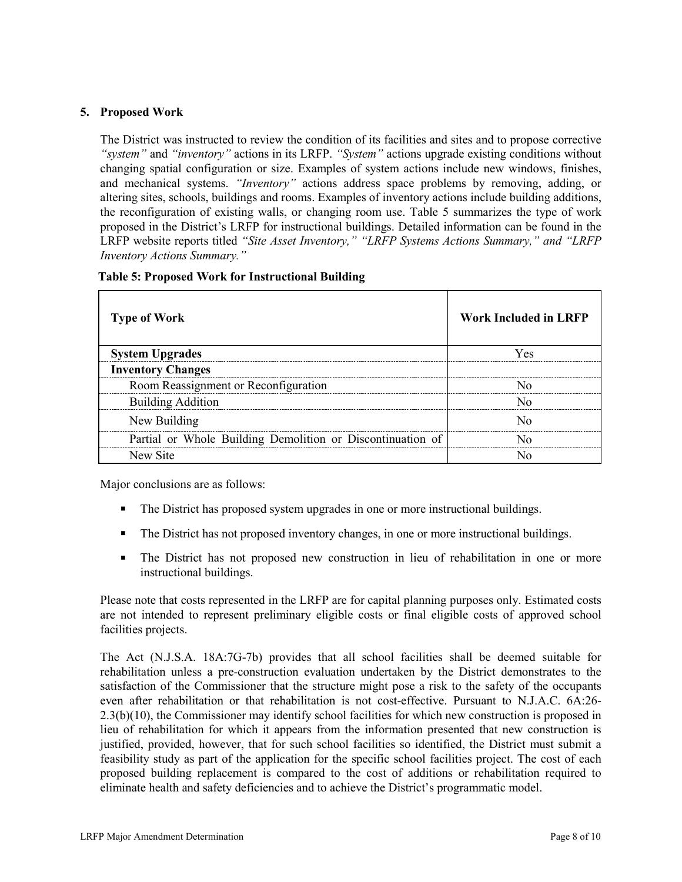#### **5. Proposed Work**

The District was instructed to review the condition of its facilities and sites and to propose corrective *"system"* and *"inventory"* actions in its LRFP. *"System"* actions upgrade existing conditions without changing spatial configuration or size. Examples of system actions include new windows, finishes, and mechanical systems. *"Inventory"* actions address space problems by removing, adding, or altering sites, schools, buildings and rooms. Examples of inventory actions include building additions, the reconfiguration of existing walls, or changing room use. Table 5 summarizes the type of work proposed in the District's LRFP for instructional buildings. Detailed information can be found in the LRFP website reports titled *"Site Asset Inventory," "LRFP Systems Actions Summary," and "LRFP Inventory Actions Summary."* 

| <b>Type of Work</b>                                        | <b>Work Included in LRFP</b> |
|------------------------------------------------------------|------------------------------|
| <b>System Upgrades</b>                                     | Yes                          |
| <b>Inventory Changes</b>                                   |                              |
| Room Reassignment or Reconfiguration                       |                              |
| <b>Building Addition</b>                                   |                              |
| New Building                                               |                              |
| Partial or Whole Building Demolition or Discontinuation of |                              |
| New Site                                                   |                              |

Major conclusions are as follows:

- The District has proposed system upgrades in one or more instructional buildings.
- The District has not proposed inventory changes, in one or more instructional buildings.
- The District has not proposed new construction in lieu of rehabilitation in one or more instructional buildings.

Please note that costs represented in the LRFP are for capital planning purposes only. Estimated costs are not intended to represent preliminary eligible costs or final eligible costs of approved school facilities projects.

The Act (N.J.S.A. 18A:7G-7b) provides that all school facilities shall be deemed suitable for rehabilitation unless a pre-construction evaluation undertaken by the District demonstrates to the satisfaction of the Commissioner that the structure might pose a risk to the safety of the occupants even after rehabilitation or that rehabilitation is not cost-effective. Pursuant to N.J.A.C. 6A:26- 2.3(b)(10), the Commissioner may identify school facilities for which new construction is proposed in lieu of rehabilitation for which it appears from the information presented that new construction is justified, provided, however, that for such school facilities so identified, the District must submit a feasibility study as part of the application for the specific school facilities project. The cost of each proposed building replacement is compared to the cost of additions or rehabilitation required to eliminate health and safety deficiencies and to achieve the District's programmatic model.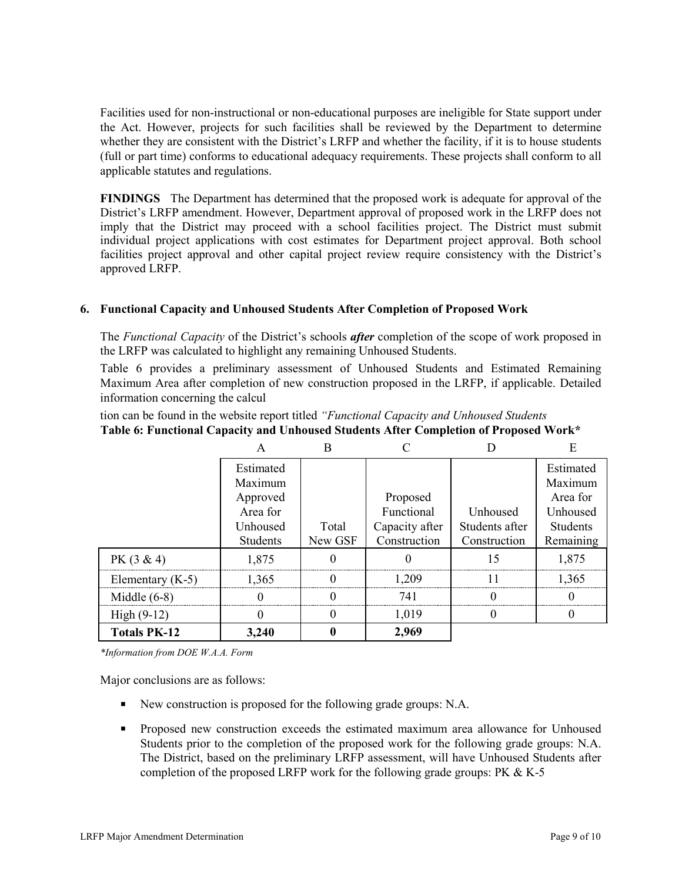Facilities used for non-instructional or non-educational purposes are ineligible for State support under the Act. However, projects for such facilities shall be reviewed by the Department to determine whether they are consistent with the District's LRFP and whether the facility, if it is to house students (full or part time) conforms to educational adequacy requirements. These projects shall conform to all applicable statutes and regulations.

**FINDINGS** The Department has determined that the proposed work is adequate for approval of the District's LRFP amendment. However, Department approval of proposed work in the LRFP does not imply that the District may proceed with a school facilities project. The District must submit individual project applications with cost estimates for Department project approval. Both school facilities project approval and other capital project review require consistency with the District's approved LRFP.

## **6. Functional Capacity and Unhoused Students After Completion of Proposed Work**

The *Functional Capacity* of the District's schools *after* completion of the scope of work proposed in the LRFP was calculated to highlight any remaining Unhoused Students.

Table 6 provides a preliminary assessment of Unhoused Students and Estimated Remaining Maximum Area after completion of new construction proposed in the LRFP, if applicable. Detailed information concerning the calcul

tion can be found in the website report titled *"Functional Capacity and Unhoused Students* **Table 6: Functional Capacity and Unhoused Students After Completion of Proposed Work\***

|                     | Estimated |         |                |                | Estimated       |
|---------------------|-----------|---------|----------------|----------------|-----------------|
|                     | Maximum   |         |                |                | Maximum         |
|                     | Approved  |         | Proposed       |                | Area for        |
|                     | Area for  |         | Functional     | Unhoused       | Unhoused        |
|                     | Unhoused  | Total   | Capacity after | Students after | <b>Students</b> |
|                     | Students  | New GSF | Construction   | Construction   | Remaining       |
| $PK(3 \& 4)$        | 1,875     |         |                |                | 1,875           |
| Elementary $(K-5)$  | 1.365     |         | 1.209          |                | 1.365           |
| Middle $(6-8)$      |           |         | 741            |                |                 |
| High $(9-12)$       |           |         | 1,019          |                |                 |
| <b>Totals PK-12</b> | 3.240     |         | 2,969          |                |                 |

*\*Information from DOE W.A.A. Form*

Major conclusions are as follows:

- New construction is proposed for the following grade groups: N.A.
- **Proposed new construction exceeds the estimated maximum area allowance for Unhoused** Students prior to the completion of the proposed work for the following grade groups: N.A. The District, based on the preliminary LRFP assessment, will have Unhoused Students after completion of the proposed LRFP work for the following grade groups: PK & K-5